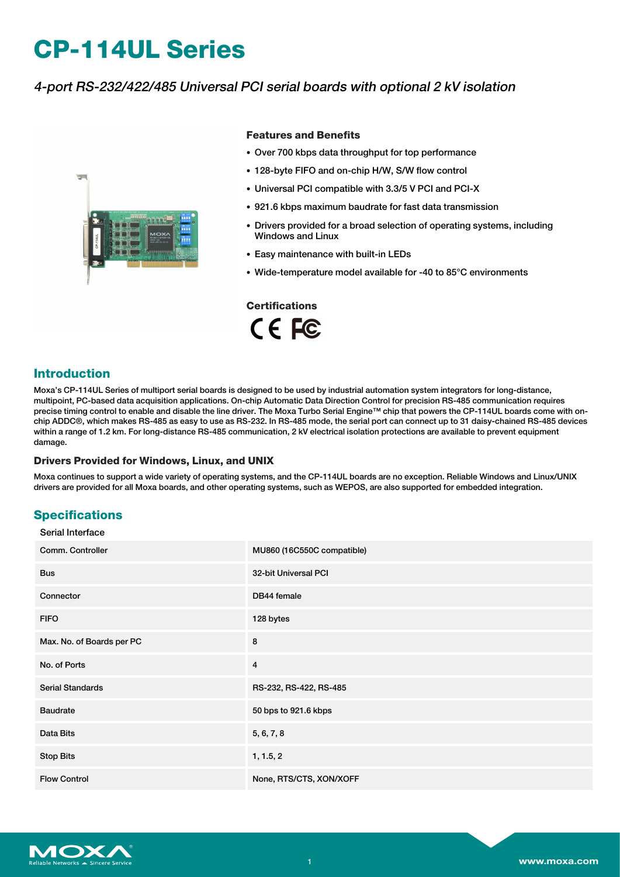# **CP-114UL Series**

# 4-port RS-232/422/485 Universal PCI serial boards with optional 2 kV isolation



#### **Features and Benefits**

- Over 700 kbps data throughput for top performance
- 128-byte FIFO and on-chip H/W, S/W flow control
- Universal PCI compatible with 3.3/5 V PCI and PCI-X
- 921.6 kbps maximum baudrate for fast data transmission
- Drivers provided for a broad selection of operating systems, including Windows and Linux
- Easy maintenance with built-in LEDs
- Wide-temperature model available for -40 to 85°C environments

# **Certifications**

CE FC

# **Introduction**

Moxa's CP-114UL Series of multiport serial boards is designed to be used by industrial automation system integrators for long-distance, multipoint, PC-based data acquisition applications. On-chip Automatic Data Direction Control for precision RS-485 communication requires precise timing control to enable and disable the line driver. The Moxa Turbo Serial Engine™ chip that powers the CP-114UL boards come with onchip ADDC®, which makes RS-485 as easy to use as RS-232. In RS-485 mode, the serial port can connect up to 31 daisy-chained RS-485 devices within a range of 1.2 km. For long-distance RS-485 communication, 2 kV electrical isolation protections are available to prevent equipment damage

#### **Drivers Provided for Windows, Linux, and UNIX**

Moxa continues to support a wide variety of operating systems, and the CP-114UL boards are no exception. Reliable Windows and Linux/UNIX drivers are provided for all Moxa boards, and other operating systems, such as WEPOS, are also supported for embedded integration.

# **Specifications**

#### Serial Interface

| Comm. Controller          | MU860 (16C550C compatible) |
|---------------------------|----------------------------|
| <b>Bus</b>                | 32-bit Universal PCI       |
| Connector                 | DB44 female                |
| <b>FIFO</b>               | 128 bytes                  |
| Max. No. of Boards per PC | 8                          |
| No. of Ports              | 4                          |
| <b>Serial Standards</b>   | RS-232, RS-422, RS-485     |
| <b>Baudrate</b>           | 50 bps to 921.6 kbps       |
| Data Bits                 | 5, 6, 7, 8                 |
| <b>Stop Bits</b>          | 1, 1.5, 2                  |
| <b>Flow Control</b>       | None, RTS/CTS, XON/XOFF    |

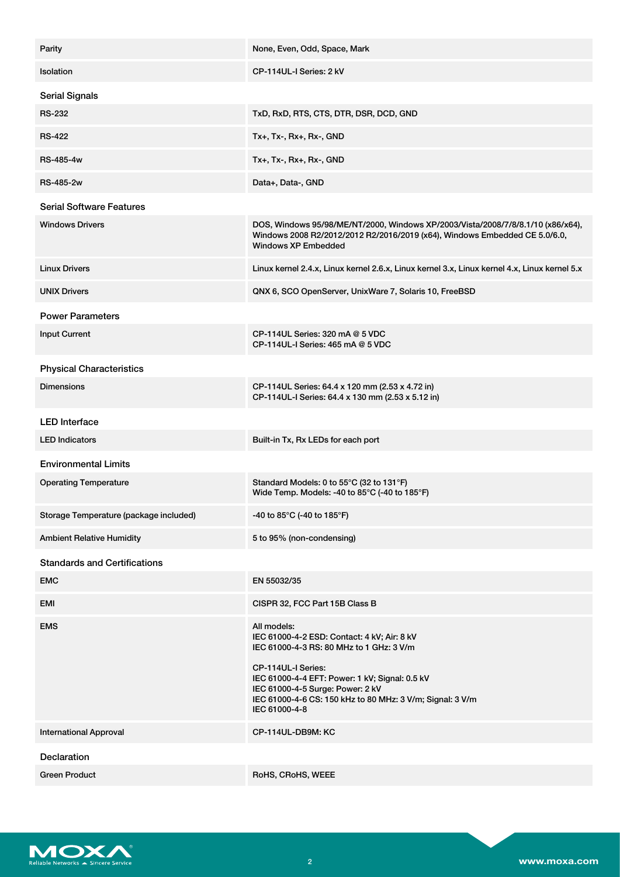| Parity                                 | None, Even, Odd, Space, Mark                                                                                                                                                                                                                                                                     |  |
|----------------------------------------|--------------------------------------------------------------------------------------------------------------------------------------------------------------------------------------------------------------------------------------------------------------------------------------------------|--|
| Isolation                              | CP-114UL-I Series: 2 kV                                                                                                                                                                                                                                                                          |  |
| <b>Serial Signals</b>                  |                                                                                                                                                                                                                                                                                                  |  |
| <b>RS-232</b>                          | TxD, RxD, RTS, CTS, DTR, DSR, DCD, GND                                                                                                                                                                                                                                                           |  |
| <b>RS-422</b>                          | Tx+, Tx-, Rx+, Rx-, GND                                                                                                                                                                                                                                                                          |  |
| <b>RS-485-4w</b>                       | $Tx+$ , $Tx-$ , $Rx+$ , $Rx-$ , $GND$                                                                                                                                                                                                                                                            |  |
| <b>RS-485-2w</b>                       | Data+, Data-, GND                                                                                                                                                                                                                                                                                |  |
| <b>Serial Software Features</b>        |                                                                                                                                                                                                                                                                                                  |  |
| <b>Windows Drivers</b>                 | DOS, Windows 95/98/ME/NT/2000, Windows XP/2003/Vista/2008/7/8/8.1/10 (x86/x64),<br>Windows 2008 R2/2012/2012 R2/2016/2019 (x64), Windows Embedded CE 5.0/6.0,<br><b>Windows XP Embedded</b>                                                                                                      |  |
| <b>Linux Drivers</b>                   | Linux kernel 2.4.x, Linux kernel 2.6.x, Linux kernel 3.x, Linux kernel 4.x, Linux kernel 5.x                                                                                                                                                                                                     |  |
| <b>UNIX Drivers</b>                    | QNX 6, SCO OpenServer, UnixWare 7, Solaris 10, FreeBSD                                                                                                                                                                                                                                           |  |
| <b>Power Parameters</b>                |                                                                                                                                                                                                                                                                                                  |  |
| <b>Input Current</b>                   | CP-114UL Series: 320 mA @ 5 VDC<br>CP-114UL-I Series: $465 \text{ mA} @ 5 \text{ VDC}$                                                                                                                                                                                                           |  |
| <b>Physical Characteristics</b>        |                                                                                                                                                                                                                                                                                                  |  |
| <b>Dimensions</b>                      | CP-114UL Series: 64.4 x 120 mm (2.53 x 4.72 in)<br>CP-114UL-I Series: 64.4 x 130 mm (2.53 x 5.12 in)                                                                                                                                                                                             |  |
| <b>LED</b> Interface                   |                                                                                                                                                                                                                                                                                                  |  |
| <b>LED Indicators</b>                  | Built-in Tx, Rx LEDs for each port                                                                                                                                                                                                                                                               |  |
| <b>Environmental Limits</b>            |                                                                                                                                                                                                                                                                                                  |  |
| <b>Operating Temperature</b>           | Standard Models: 0 to 55°C (32 to 131°F)<br>Wide Temp. Models: -40 to 85°C (-40 to 185°F)                                                                                                                                                                                                        |  |
| Storage Temperature (package included) | -40 to 85 $^{\circ}$ C (-40 to 185 $^{\circ}$ F)                                                                                                                                                                                                                                                 |  |
| <b>Ambient Relative Humidity</b>       | 5 to 95% (non-condensing)                                                                                                                                                                                                                                                                        |  |
| <b>Standards and Certifications</b>    |                                                                                                                                                                                                                                                                                                  |  |
| <b>EMC</b>                             | EN 55032/35                                                                                                                                                                                                                                                                                      |  |
| EMI                                    | CISPR 32, FCC Part 15B Class B                                                                                                                                                                                                                                                                   |  |
| <b>EMS</b>                             | All models:<br>IEC 61000-4-2 ESD: Contact: 4 kV; Air: 8 kV<br>IEC 61000-4-3 RS: 80 MHz to 1 GHz: 3 V/m<br>CP-114UL-I Series:<br>IEC 61000-4-4 EFT: Power: 1 kV; Signal: 0.5 kV<br>IEC 61000-4-5 Surge: Power: 2 kV<br>IEC 61000-4-6 CS: 150 kHz to 80 MHz: 3 V/m; Signal: 3 V/m<br>IEC 61000-4-8 |  |
| <b>International Approval</b>          | CP-114UL-DB9M: KC                                                                                                                                                                                                                                                                                |  |
| Declaration                            |                                                                                                                                                                                                                                                                                                  |  |
| <b>Green Product</b>                   | RoHS, CRoHS, WEEE                                                                                                                                                                                                                                                                                |  |

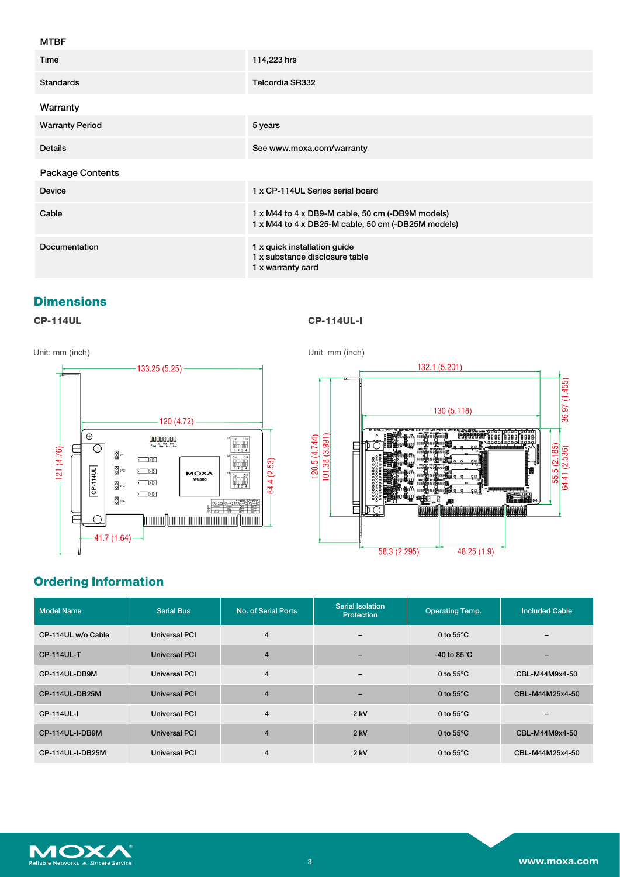#### MTBF

| Time                    | 114,223 hrs                                                                                            |
|-------------------------|--------------------------------------------------------------------------------------------------------|
| <b>Standards</b>        | Telcordia SR332                                                                                        |
| Warranty                |                                                                                                        |
| <b>Warranty Period</b>  | 5 years                                                                                                |
| <b>Details</b>          | See www.moxa.com/warranty                                                                              |
| <b>Package Contents</b> |                                                                                                        |
| <b>Device</b>           | 1 x CP-114UL Series serial board                                                                       |
| Cable                   | 1 x M44 to 4 x DB9-M cable, 50 cm (-DB9M models)<br>1 x M44 to 4 x DB25-M cable, 50 cm (-DB25M models) |
| Documentation           | 1 x quick installation guide<br>1 x substance disclosure table<br>1 x warranty card                    |

### **Dimensions**

### **CP-114UL CP-114UL-I**







# **Ordering Information**

| <b>Model Name</b>  | <b>Serial Bus</b>    | No. of Serial Ports | <b>Serial Isolation</b><br>Protection | <b>Operating Temp.</b> | <b>Included Cable</b> |
|--------------------|----------------------|---------------------|---------------------------------------|------------------------|-----------------------|
| CP-114UL w/o Cable | <b>Universal PCI</b> | 4                   | $\overline{\phantom{0}}$              | 0 to $55^{\circ}$ C    |                       |
| <b>CP-114UL-T</b>  | Universal PCI        | $\overline{4}$      | -                                     | -40 to 85 $\degree$ C  |                       |
| CP-114UL-DB9M      | <b>Universal PCI</b> | 4                   | $\overline{\phantom{0}}$              | 0 to $55^{\circ}$ C    | CBL-M44M9x4-50        |
| CP-114UL-DB25M     | Universal PCI        | $\overline{4}$      | -                                     | 0 to $55^{\circ}$ C    | CBL-M44M25x4-50       |
| CP-114UL-I         | Universal PCI        | $\overline{4}$      | $2$ kV                                | 0 to $55^{\circ}$ C    |                       |
| CP-114UL-I-DB9M    | Universal PCI        | $\overline{4}$      | $2$ kV                                | 0 to $55^{\circ}$ C    | CBL-M44M9x4-50        |
| CP-114UL-I-DB25M   | <b>Universal PCI</b> | 4                   | $2$ kV                                | 0 to $55^{\circ}$ C    | CBL-M44M25x4-50       |